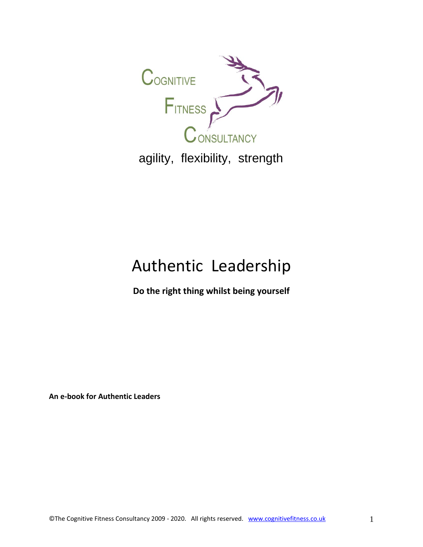

agility, flexibility, strength

# Authentic Leadership

**Do the right thing whilst being yourself**

**An e-book for Authentic Leaders**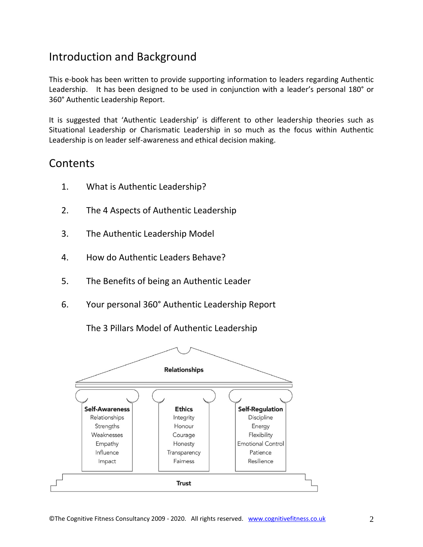# Introduction and Background

This e-book has been written to provide supporting information to leaders regarding Authentic Leadership. It has been designed to be used in conjunction with a leader's personal 180° or 360° Authentic Leadership Report.

It is suggested that 'Authentic Leadership' is different to other leadership theories such as Situational Leadership or Charismatic Leadership in so much as the focus within Authentic Leadership is on leader self-awareness and ethical decision making.

# Contents

- 1. What is Authentic Leadership?
- 2. The 4 Aspects of Authentic Leadership
- 3. The Authentic Leadership Model
- 4. How do Authentic Leaders Behave?
- 5. The Benefits of being an Authentic Leader
- 6. Your personal 360° Authentic Leadership Report



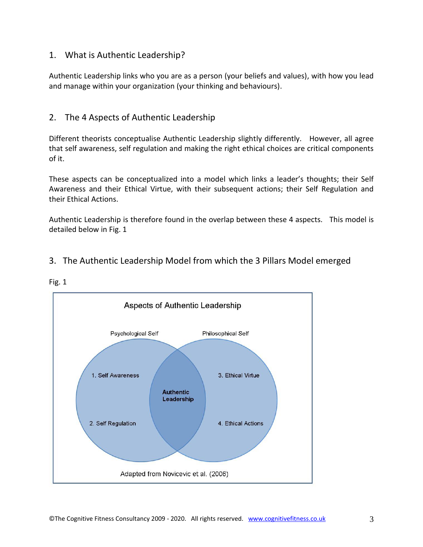## 1. What is Authentic Leadership?

Authentic Leadership links who you are as a person (your beliefs and values), with how you lead and manage within your organization (your thinking and behaviours).

## 2. The 4 Aspects of Authentic Leadership

Different theorists conceptualise Authentic Leadership slightly differently. However, all agree that self awareness, self regulation and making the right ethical choices are critical components of it.

These aspects can be conceptualized into a model which links a leader's thoughts; their Self Awareness and their Ethical Virtue, with their subsequent actions; their Self Regulation and their Ethical Actions.

Authentic Leadership is therefore found in the overlap between these 4 aspects. This model is detailed below in Fig. 1

# 3. The Authentic Leadership Model from which the 3 Pillars Model emerged



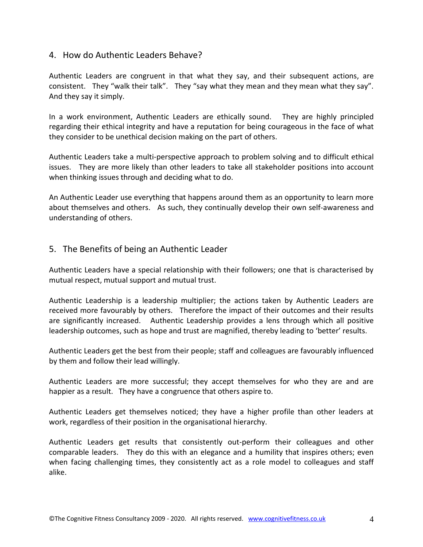#### 4. How do Authentic Leaders Behave?

Authentic Leaders are congruent in that what they say, and their subsequent actions, are consistent. They "walk their talk". They "say what they mean and they mean what they say". And they say it simply.

In a work environment, Authentic Leaders are ethically sound. They are highly principled regarding their ethical integrity and have a reputation for being courageous in the face of what they consider to be unethical decision making on the part of others.

Authentic Leaders take a multi-perspective approach to problem solving and to difficult ethical issues. They are more likely than other leaders to take all stakeholder positions into account when thinking issues through and deciding what to do.

An Authentic Leader use everything that happens around them as an opportunity to learn more about themselves and others. As such, they continually develop their own self-awareness and understanding of others.

#### 5. The Benefits of being an Authentic Leader

Authentic Leaders have a special relationship with their followers; one that is characterised by mutual respect, mutual support and mutual trust.

Authentic Leadership is a leadership multiplier; the actions taken by Authentic Leaders are received more favourably by others. Therefore the impact of their outcomes and their results are significantly increased. Authentic Leadership provides a lens through which all positive leadership outcomes, such as hope and trust are magnified, thereby leading to 'better' results.

Authentic Leaders get the best from their people; staff and colleagues are favourably influenced by them and follow their lead willingly.

Authentic Leaders are more successful; they accept themselves for who they are and are happier as a result. They have a congruence that others aspire to.

Authentic Leaders get themselves noticed; they have a higher profile than other leaders at work, regardless of their position in the organisational hierarchy.

Authentic Leaders get results that consistently out-perform their colleagues and other comparable leaders. They do this with an elegance and a humility that inspires others; even when facing challenging times, they consistently act as a role model to colleagues and staff alike.